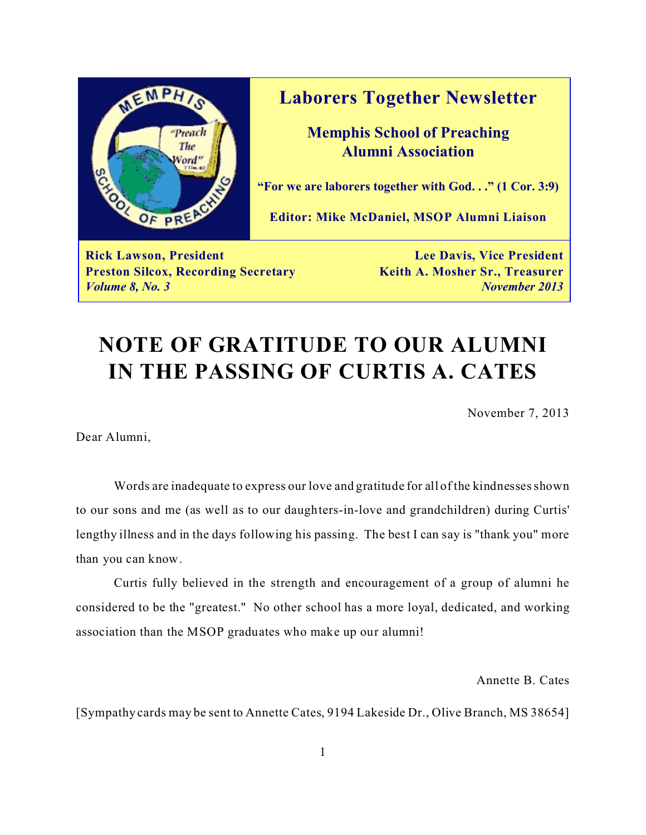

**Laborers Together Newsletter**

**Memphis School of Preaching Alumni Association**

**"For we are laborers together with God. . ." (1 Cor. 3:9)**

**Editor: Mike McDaniel, MSOP Alumni Liaison**

**Rick Lawson, President Lee Davis, Vice President Preston Silcox, Recording Secretary <b>Keith A. Mosher Sr., Treasurer** *Volume 8, No. 3 November 2013*

# **NOTE OF GRATITUDE TO OUR ALUMNI IN THE PASSING OF CURTIS A. CATES**

November 7, 2013

Dear Alumni,

Words are inadequate to express our love and gratitude for all of the kindnesses shown to our sons and me (as well as to our daughters-in-love and grandchildren) during Curtis' lengthy illness and in the days following his passing. The best I can say is "thank you" more than you can know.

Curtis fully believed in the strength and encouragement of a group of alumni he considered to be the "greatest." No other school has a more loyal, dedicated, and working association than the MSOP graduates who make up our alumni!

Annette B. Cates

[Sympathy cards may be sent to Annette Cates, 9194 Lakeside Dr., Olive Branch, MS 38654]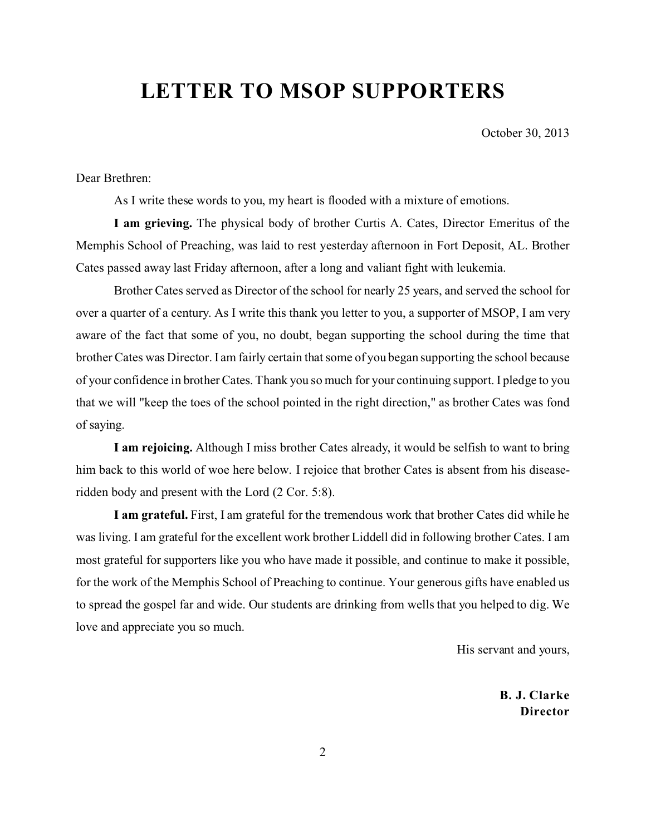# **LETTER TO MSOP SUPPORTERS**

October 30, 2013

Dear Brethren:

As I write these words to you, my heart is flooded with a mixture of emotions.

**I am grieving.** The physical body of brother Curtis A. Cates, Director Emeritus of the Memphis School of Preaching, was laid to rest yesterday afternoon in Fort Deposit, AL. Brother Cates passed away last Friday afternoon, after a long and valiant fight with leukemia.

Brother Cates served as Director of the school for nearly 25 years, and served the school for over a quarter of a century. As I write this thank you letter to you, a supporter of MSOP, I am very aware of the fact that some of you, no doubt, began supporting the school during the time that brother Cates was Director. I am fairly certain that some of you began supporting the school because of your confidence in brother Cates. Thank you so much for your continuing support. I pledge to you that we will "keep the toes of the school pointed in the right direction," as brother Cates was fond of saying.

**I am rejoicing.** Although I miss brother Cates already, it would be selfish to want to bring him back to this world of woe here below. I rejoice that brother Cates is absent from his diseaseridden body and present with the Lord (2 Cor. 5:8).

**I am grateful.** First, I am grateful for the tremendous work that brother Cates did while he was living. I am grateful for the excellent work brother Liddell did in following brother Cates. I am most grateful for supporters like you who have made it possible, and continue to make it possible, for the work of the Memphis School of Preaching to continue. Your generous gifts have enabled us to spread the gospel far and wide. Our students are drinking from wells that you helped to dig. We love and appreciate you so much.

His servant and yours,

**B. J. Clarke Director**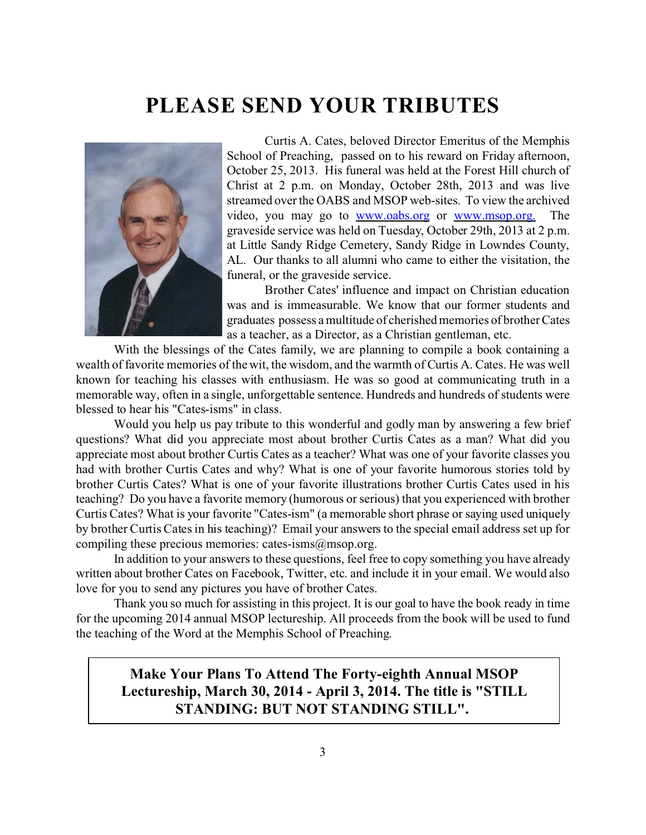### **PLEASE SEND YOUR TRIBUTES**



Curtis A. Cates, beloved Director Emeritus of the Memphis School of Preaching, passed on to his reward on Friday afternoon, October 25, 2013. His funeral was held at the Forest Hill church of Christ at 2 p.m. on Monday, October 28th, 2013 and was live streamed over the OABS and MSOP web-sites. To view the archived video, you may go to [www.oabs.org](http://www.oabs.org) or [www.msop.org.](http://www.msop.org.) The graveside service was held on Tuesday, October 29th, 2013 at 2 p.m. at Little Sandy Ridge Cemetery, Sandy Ridge in Lowndes County, AL. Our thanks to all alumni who came to either the visitation, the funeral, or the graveside service.

Brother Cates' influence and impact on Christian education was and is immeasurable. We know that our former students and graduates possess a multitude of cherished memories of brother Cates as a teacher, as a Director, as a Christian gentleman, etc.

With the blessings of the Cates family, we are planning to compile a book containing a wealth of favorite memories of the wit, the wisdom, and the warmth of Curtis A. Cates. He was well known for teaching his classes with enthusiasm. He was so good at communicating truth in a memorable way, often in a single, unforgettable sentence. Hundreds and hundreds of students were blessed to hear his "Cates-isms" in class.

Would you help us pay tribute to this wonderful and godly man by answering a few brief questions? What did you appreciate most about brother Curtis Cates as a man? What did you appreciate most about brother Curtis Cates as a teacher? What was one of your favorite classes you had with brother Curtis Cates and why? What is one of your favorite humorous stories told by brother Curtis Cates? What is one of your favorite illustrations brother Curtis Cates used in his teaching? Do you have a favorite memory (humorous or serious) that you experienced with brother Curtis Cates? What is your favorite "Cates-ism" (a memorable short phrase or saying used uniquely by brother Curtis Cates in his teaching)? Email your answers to the special email address set up for compiling these precious memories: cates-isms@msop.org.

In addition to your answers to these questions, feel free to copy something you have already written about brother Cates on Facebook, Twitter, etc. and include it in your email. We would also love for you to send any pictures you have of brother Cates.

Thank you so much for assisting in this project. It is our goal to have the book ready in time for the upcoming 2014 annual MSOP lectureship. All proceeds from the book will be used to fund the teaching of the Word at the Memphis School of Preaching.

### **Make Your Plans To Attend The Forty-eighth Annual MSOP Lectureship, March 30, 2014 - April 3, 2014. The title is "STILL STANDING: BUT NOT STANDING STILL".**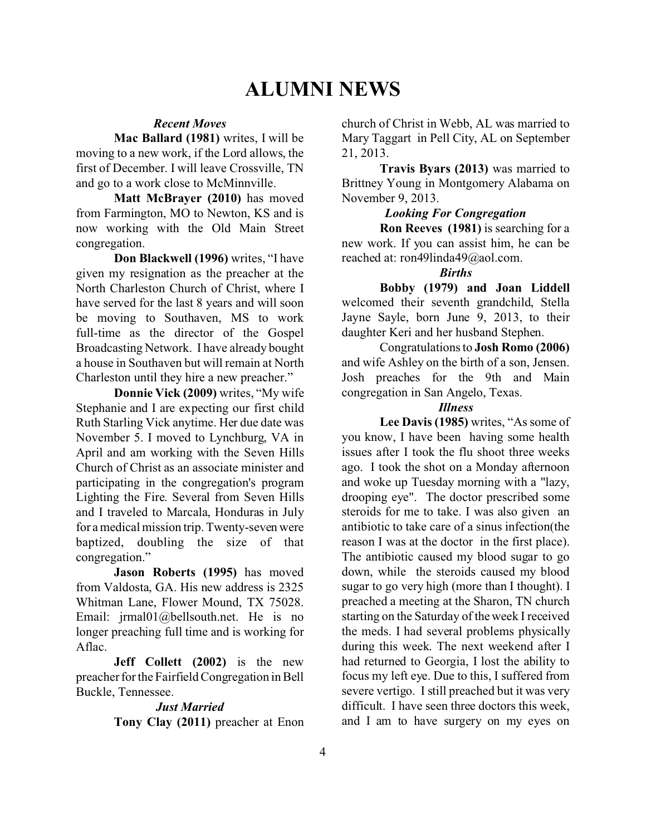### **ALUMNI NEWS**

#### *Recent Moves*

**Mac Ballard (1981)** writes, I will be moving to a new work, if the Lord allows, the first of December. I will leave Crossville, TN and go to a work close to McMinnville.

**Matt McBrayer (2010)** has moved from Farmington, MO to Newton, KS and is now working with the Old Main Street congregation.

**Don Blackwell (1996)** writes, "I have given my resignation as the preacher at the North Charleston Church of Christ, where I have served for the last 8 years and will soon be moving to Southaven, MS to work full-time as the director of the Gospel Broadcasting Network. I have already bought a house in Southaven but will remain at North Charleston until they hire a new preacher."

**Donnie Vick (2009)** writes, "My wife Stephanie and I are expecting our first child Ruth Starling Vick anytime. Her due date was November 5. I moved to Lynchburg, VA in April and am working with the Seven Hills Church of Christ as an associate minister and participating in the congregation's program Lighting the Fire. Several from Seven Hills and I traveled to Marcala, Honduras in July for a medical mission trip. Twenty-seven were baptized, doubling the size of that congregation."

**Jason Roberts (1995)** has moved from Valdosta, GA. His new address is 2325 Whitman Lane, Flower Mound, TX 75028. Email: jrmal01@bellsouth.net. He is no longer preaching full time and is working for Aflac.

**Jeff Collett (2002)** is the new preacher for the Fairfield Congregation in Bell Buckle, Tennessee.

#### *Just Married*

**Tony Clay (2011)** preacher at Enon

church of Christ in Webb, AL was married to Mary Taggart in Pell City, AL on September 21, 2013.

**Travis Byars (2013)** was married to Brittney Young in Montgomery Alabama on November 9, 2013.

#### *Looking For Congregation*

**Ron Reeves (1981)** is searching for a new work. If you can assist him, he can be reached at: ron49linda49@aol.com.

#### *Births*

**Bobby (1979) and Joan Liddell** welcomed their seventh grandchild, Stella Jayne Sayle, born June 9, 2013, to their daughter Keri and her husband Stephen.

Congratulations to **Josh Romo (2006)** and wife Ashley on the birth of a son, Jensen. Josh preaches for the 9th and Main congregation in San Angelo, Texas.

#### *Illness*

**Lee Davis (1985)** writes, "As some of you know, I have been having some health issues after I took the flu shoot three weeks ago. I took the shot on a Monday afternoon and woke up Tuesday morning with a "lazy, drooping eye". The doctor prescribed some steroids for me to take. I was also given an antibiotic to take care of a sinus infection(the reason I was at the doctor in the first place). The antibiotic caused my blood sugar to go down, while the steroids caused my blood sugar to go very high (more than I thought). I preached a meeting at the Sharon, TN church starting on the Saturday of the week I received the meds. I had several problems physically during this week. The next weekend after I had returned to Georgia, I lost the ability to focus my left eye. Due to this, I suffered from severe vertigo. I still preached but it was very difficult. I have seen three doctors this week, and I am to have surgery on my eyes on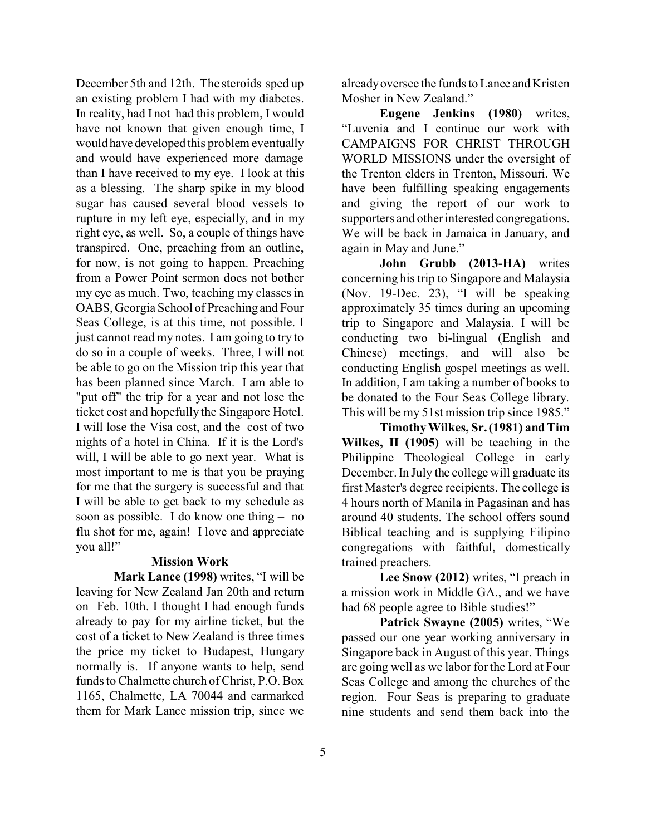December 5th and 12th. The steroids sped up an existing problem I had with my diabetes. In reality, had I not had this problem, I would have not known that given enough time, I would have developed this problem eventually and would have experienced more damage than I have received to my eye. I look at this as a blessing. The sharp spike in my blood sugar has caused several blood vessels to rupture in my left eye, especially, and in my right eye, as well. So, a couple of things have transpired. One, preaching from an outline, for now, is not going to happen. Preaching from a Power Point sermon does not bother my eye as much. Two, teaching my classes in OABS, Georgia School of Preaching and Four Seas College, is at this time, not possible. I just cannot read my notes. I am going to try to do so in a couple of weeks. Three, I will not be able to go on the Mission trip this year that has been planned since March. I am able to "put off" the trip for a year and not lose the ticket cost and hopefully the Singapore Hotel. I will lose the Visa cost, and the cost of two nights of a hotel in China. If it is the Lord's will, I will be able to go next year. What is most important to me is that you be praying for me that the surgery is successful and that I will be able to get back to my schedule as soon as possible. I do know one thing – no flu shot for me, again! I love and appreciate you all!"

#### **Mission Work**

**Mark Lance (1998)** writes, "I will be leaving for New Zealand Jan 20th and return on Feb. 10th. I thought I had enough funds already to pay for my airline ticket, but the cost of a ticket to New Zealand is three times the price my ticket to Budapest, Hungary normally is. If anyone wants to help, send funds to Chalmette church of Christ, P.O. Box 1165, Chalmette, LA 70044 and earmarked them for Mark Lance mission trip, since we

already oversee the funds to Lance and Kristen Mosher in New Zealand."

**Eugene Jenkins (1980)** writes, "Luvenia and I continue our work with CAMPAIGNS FOR CHRIST THROUGH WORLD MISSIONS under the oversight of the Trenton elders in Trenton, Missouri. We have been fulfilling speaking engagements and giving the report of our work to supporters and other interested congregations. We will be back in Jamaica in January, and again in May and June."

**John Grubb (2013-HA)** writes concerning his trip to Singapore and Malaysia (Nov. 19-Dec. 23), "I will be speaking approximately 35 times during an upcoming trip to Singapore and Malaysia. I will be conducting two bi-lingual (English and Chinese) meetings, and will also be conducting English gospel meetings as well. In addition, I am taking a number of books to be donated to the Four Seas College library. This will be my 51st mission trip since 1985."

**Timothy Wilkes, Sr. (1981) and Tim Wilkes, II (1905)** will be teaching in the Philippine Theological College in early December. In July the college will graduate its first Master's degree recipients. The college is 4 hours north of Manila in Pagasinan and has around 40 students. The school offers sound Biblical teaching and is supplying Filipino congregations with faithful, domestically trained preachers.

**Lee Snow (2012)** writes, "I preach in a mission work in Middle GA., and we have had 68 people agree to Bible studies!"

**Patrick Swayne (2005)** writes, "We passed our one year working anniversary in Singapore back in August of this year. Things are going well as we labor for the Lord at Four Seas College and among the churches of the region. Four Seas is preparing to graduate nine students and send them back into the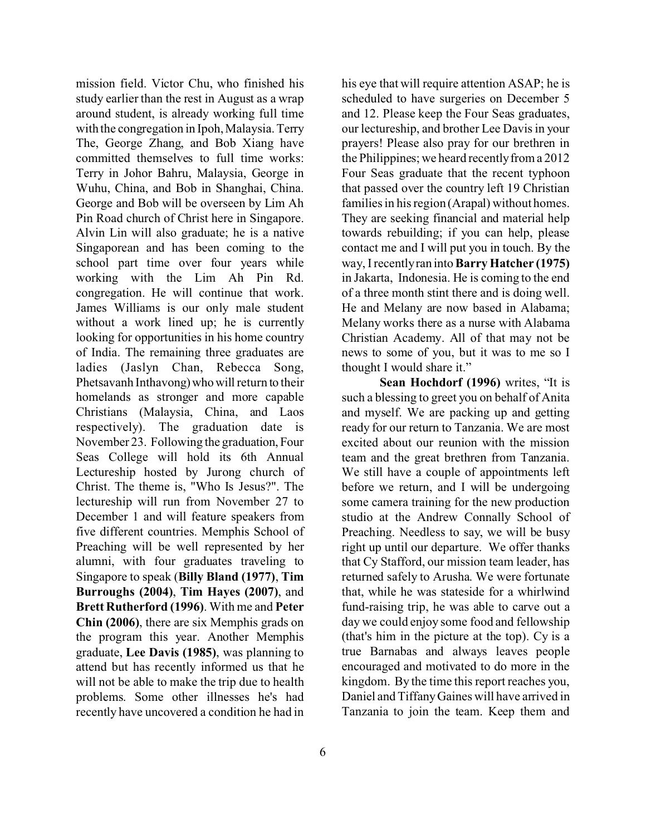mission field. Victor Chu, who finished his study earlier than the rest in August as a wrap around student, is already working full time with the congregation in Ipoh, Malaysia. Terry The, George Zhang, and Bob Xiang have committed themselves to full time works: Terry in Johor Bahru, Malaysia, George in Wuhu, China, and Bob in Shanghai, China. George and Bob will be overseen by Lim Ah Pin Road church of Christ here in Singapore. Alvin Lin will also graduate; he is a native Singaporean and has been coming to the school part time over four years while working with the Lim Ah Pin Rd. congregation. He will continue that work. James Williams is our only male student without a work lined up; he is currently looking for opportunities in his home country of India. The remaining three graduates are ladies (Jaslyn Chan, Rebecca Song, Phetsavanh Inthavong) who will return to their homelands as stronger and more capable Christians (Malaysia, China, and Laos respectively). The graduation date is November 23. Following the graduation, Four Seas College will hold its 6th Annual Lectureship hosted by Jurong church of Christ. The theme is, "Who Is Jesus?". The lectureship will run from November 27 to December 1 and will feature speakers from five different countries. Memphis School of Preaching will be well represented by her alumni, with four graduates traveling to Singapore to speak (**Billy Bland (1977)**, **Tim Burroughs (2004)**, **Tim Hayes (2007)**, and **Brett Rutherford (1996)**. With me and **Peter Chin (2006)**, there are six Memphis grads on the program this year. Another Memphis graduate, **Lee Davis (1985)**, was planning to attend but has recently informed us that he will not be able to make the trip due to health problems. Some other illnesses he's had recently have uncovered a condition he had in

his eye that will require attention ASAP; he is scheduled to have surgeries on December 5 and 12. Please keep the Four Seas graduates, our lectureship, and brother Lee Davis in your prayers! Please also pray for our brethren in the Philippines; we heard recently from a 2012 Four Seas graduate that the recent typhoon that passed over the country left 19 Christian families in his region (Arapal) without homes. They are seeking financial and material help towards rebuilding; if you can help, please contact me and I will put you in touch. By the way, I recently ran into **Barry Hatcher (1975)** in Jakarta, Indonesia. He is coming to the end of a three month stint there and is doing well. He and Melany are now based in Alabama; Melany works there as a nurse with Alabama Christian Academy. All of that may not be news to some of you, but it was to me so I thought I would share it."

**Sean Hochdorf (1996)** writes, "It is such a blessing to greet you on behalf of Anita and myself. We are packing up and getting ready for our return to Tanzania. We are most excited about our reunion with the mission team and the great brethren from Tanzania. We still have a couple of appointments left before we return, and I will be undergoing some camera training for the new production studio at the Andrew Connally School of Preaching. Needless to say, we will be busy right up until our departure. We offer thanks that Cy Stafford, our mission team leader, has returned safely to Arusha. We were fortunate that, while he was stateside for a whirlwind fund-raising trip, he was able to carve out a day we could enjoy some food and fellowship (that's him in the picture at the top). Cy is a true Barnabas and always leaves people encouraged and motivated to do more in the kingdom. By the time this report reaches you, Daniel and Tiffany Gaines will have arrived in Tanzania to join the team. Keep them and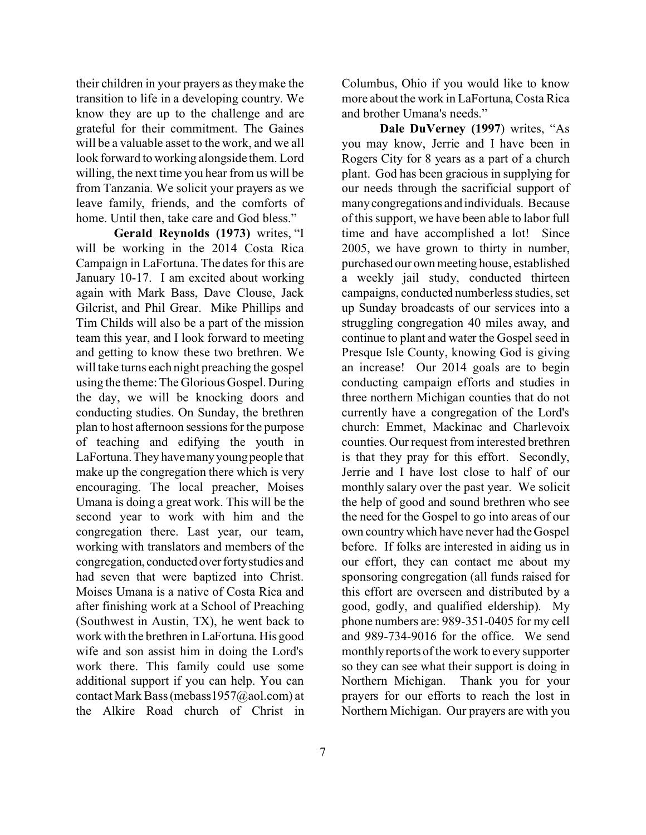their children in your prayers as they make the transition to life in a developing country. We know they are up to the challenge and are grateful for their commitment. The Gaines will be a valuable asset to the work, and we all look forward to working alongside them. Lord willing, the next time you hear from us will be from Tanzania. We solicit your prayers as we leave family, friends, and the comforts of home. Until then, take care and God bless."

**Gerald Reynolds (1973)** writes, "I will be working in the 2014 Costa Rica Campaign in LaFortuna. The dates for this are January 10-17. I am excited about working again with Mark Bass, Dave Clouse, Jack Gilcrist, and Phil Grear. Mike Phillips and Tim Childs will also be a part of the mission team this year, and I look forward to meeting and getting to know these two brethren. We will take turns each night preaching the gospel using the theme: The Glorious Gospel. During the day, we will be knocking doors and conducting studies. On Sunday, the brethren plan to host afternoon sessions for the purpose of teaching and edifying the youth in LaFortuna. They have many young people that make up the congregation there which is very encouraging. The local preacher, Moises Umana is doing a great work. This will be the second year to work with him and the congregation there. Last year, our team, working with translators and members of the congregation, conducted over forty studies and had seven that were baptized into Christ. Moises Umana is a native of Costa Rica and after finishing work at a School of Preaching (Southwest in Austin, TX), he went back to work with the brethren in LaFortuna. His good wife and son assist him in doing the Lord's work there. This family could use some additional support if you can help. You can contact Mark Bass (mebass1957@aol.com) at the Alkire Road church of Christ in

more about the work in LaFortuna, Costa Rica and brother Umana's needs." **Dale DuVerney (1997**) writes, "As

Columbus, Ohio if you would like to know

you may know, Jerrie and I have been in Rogers City for 8 years as a part of a church plant. God has been gracious in supplying for our needs through the sacrificial support of many congregations and individuals. Because of this support, we have been able to labor full time and have accomplished a lot! Since 2005, we have grown to thirty in number, purchased our ownmeeting house, established a weekly jail study, conducted thirteen campaigns, conducted numberless studies, set up Sunday broadcasts of our services into a struggling congregation 40 miles away, and continue to plant and water the Gospel seed in Presque Isle County, knowing God is giving an increase! Our 2014 goals are to begin conducting campaign efforts and studies in three northern Michigan counties that do not currently have a congregation of the Lord's church: Emmet, Mackinac and Charlevoix counties. Our request from interested brethren is that they pray for this effort. Secondly, Jerrie and I have lost close to half of our monthly salary over the past year. We solicit the help of good and sound brethren who see the need for the Gospel to go into areas of our own country which have never had the Gospel before. If folks are interested in aiding us in our effort, they can contact me about my sponsoring congregation (all funds raised for this effort are overseen and distributed by a good, godly, and qualified eldership). My phone numbers are: 989-351-0405 for my cell and 989-734-9016 for the office. We send monthly reports of the work to every supporter so they can see what their support is doing in Northern Michigan. Thank you for your prayers for our efforts to reach the lost in Northern Michigan. Our prayers are with you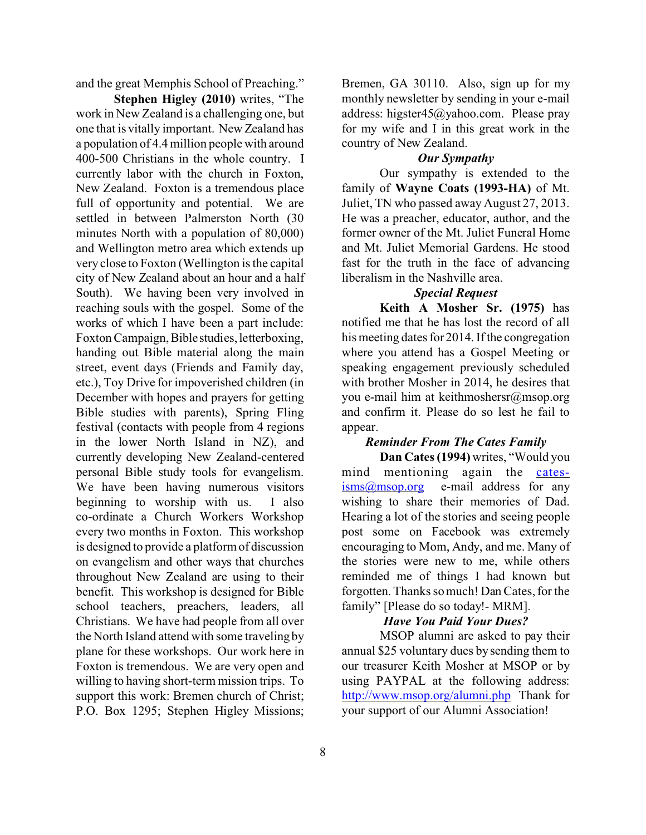and the great Memphis School of Preaching."

**Stephen Higley (2010)** writes, "The work in New Zealand is a challenging one, but one that is vitally important. New Zealand has a population of 4.4 million people with around 400-500 Christians in the whole country. I currently labor with the church in Foxton, New Zealand. Foxton is a tremendous place full of opportunity and potential. We are settled in between Palmerston North (30 minutes North with a population of 80,000) and Wellington metro area which extends up very close to Foxton (Wellington is the capital city of New Zealand about an hour and a half South). We having been very involved in reaching souls with the gospel. Some of the works of which I have been a part include: Foxton Campaign, Bible studies, letterboxing, handing out Bible material along the main street, event days (Friends and Family day, etc.), Toy Drive for impoverished children (in December with hopes and prayers for getting Bible studies with parents), Spring Fling festival (contacts with people from 4 regions in the lower North Island in NZ), and currently developing New Zealand-centered personal Bible study tools for evangelism. We have been having numerous visitors beginning to worship with us. I also co-ordinate a Church Workers Workshop every two months in Foxton. This workshop is designed to provide a platform of discussion on evangelism and other ways that churches throughout New Zealand are using to their benefit. This workshop is designed for Bible school teachers, preachers, leaders, all Christians. We have had people from all over the North Island attend with some traveling by plane for these workshops. Our work here in Foxton is tremendous. We are very open and willing to having short-term mission trips. To support this work: Bremen church of Christ; P.O. Box 1295; Stephen Higley Missions;

Bremen, GA 30110. Also, sign up for my monthly newsletter by sending in your e-mail address: higster45@yahoo.com. Please pray for my wife and I in this great work in the country of New Zealand.

#### *Our Sympathy*

Our sympathy is extended to the family of **Wayne Coats (1993-HA)** of Mt. Juliet, TN who passed away August 27, 2013. He was a preacher, educator, author, and the former owner of the Mt. Juliet Funeral Home and Mt. Juliet Memorial Gardens. He stood fast for the truth in the face of advancing liberalism in the Nashville area.

#### *Special Request*

**Keith A Mosher Sr. (1975)** has notified me that he has lost the record of all his meeting dates for 2014. If the congregation where you attend has a Gospel Meeting or speaking engagement previously scheduled with brother Mosher in 2014, he desires that you e-mail him at keithmoshersr@msop.org and confirm it. Please do so lest he fail to appear.

#### *Reminder From The Cates Family*

**Dan Cates (1994)** writes, "Would you mind mentioning again the [cates-](mailto:cates-isms@msop.org) $\frac{\text{isms}(a) \text{msop.org}}{\text{es-mail}}$  address for any wishing to share their memories of Dad. Hearing a lot of the stories and seeing people post some on Facebook was extremely encouraging to Mom, Andy, and me. Many of the stories were new to me, while others reminded me of things I had known but forgotten. Thanks so much! Dan Cates, for the family" [Please do so today!- MRM].

#### *Have You Paid Your Dues?*

MSOP alumni are asked to pay their annual \$25 voluntary dues by sending them to our treasurer Keith Mosher at MSOP or by using PAYPAL at the following address: [http://www.msop.org/alumni.php](http://www.msop.org/alumni.php.) Thank for your support of our Alumni Association!